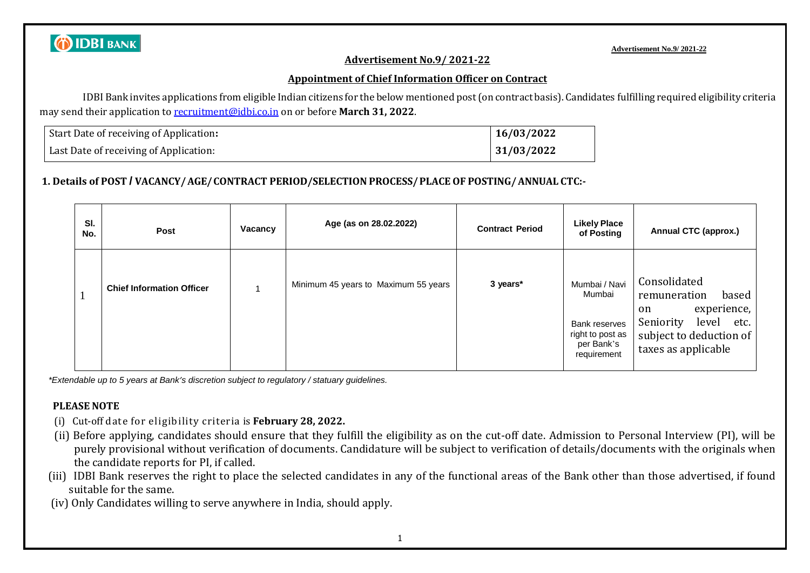

**Advertisement No.9/ 2021-22**

#### **Advertisement No.9/ 2021-22**

#### **Appointment of Chief Information Officer on Contract**

IDBI Bank invites applications from eligible Indian citizens for the below mentioned post(on contract basis). Candidates fulfilling required eligibility criteria may send their application to [recruitment@idbi.co.in](mailto:recruitment@idbi.co.in) on or before **March 31, 2022**.

| Start Date of receiving of Application: | 16/03/2022 |
|-----------------------------------------|------------|
| Last Date of receiving of Application:  | 31/03/2022 |

### **1. Details of POST / VACANCY/AGE/CONTRACT PERIOD/SELECTION PROCESS/PLACE OF POSTING/ANNUAL CTC:-**

| SI.<br>No. | Post                             | Vacancy | Age (as on 28.02.2022)               | <b>Contract Period</b> | <b>Likely Place</b><br>of Posting                                                         | <b>Annual CTC (approx.)</b>                                                                                                                           |
|------------|----------------------------------|---------|--------------------------------------|------------------------|-------------------------------------------------------------------------------------------|-------------------------------------------------------------------------------------------------------------------------------------------------------|
|            | <b>Chief Information Officer</b> |         | Minimum 45 years to Maximum 55 years | 3 years*               | Mumbai / Navi<br>Mumbai<br>Bank reserves<br>right to post as<br>per Bank's<br>requirement | Consolidated<br>remuneration<br>based<br>experience,<br><sub>on</sub><br>Seniority<br>level<br>etc.<br>subject to deduction of<br>taxes as applicable |

*\*Extendable up to 5 years at Bank's discretion subject to regulatory / statuary guidelines.*

### **PLEASE NOTE**

- (i) Cut-off date for eligibility criteria is **February 28, 2022.**
- (ii) Before applying, candidates should ensure that they fulfill the eligibility as on the cut-off date. Admission to Personal Interview (PI), will be purely provisional without verification of documents. Candidature will be subject to verification of details/documents with the originals when the candidate reports for PI, if called.
- (iii) IDBI Bank reserves the right to place the selected candidates in any of the functional areas of the Bank other than those advertised, if found suitable for the same.
- (iv) Only Candidates willing to serve anywhere in India, should apply.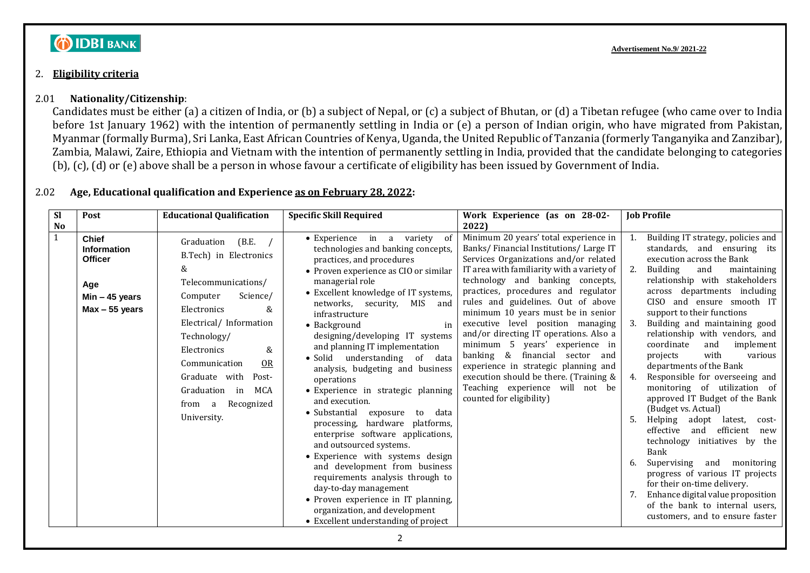# **O IDBI BANK**

#### 2. **Eligibility criteria**

#### 2.01 **Nationality/Citizenship**:

Candidates must be either (a) a citizen of India, or (b) a subject of Nepal, or (c) a subject of Bhutan, or (d) a Tibetan refugee (who came over to India before 1st January 1962) with the intention of permanently settling in India or (e) a person of Indian origin, who have migrated from Pakistan, Myanmar (formally Burma), Sri Lanka, East African Countries of Kenya, Uganda, the United Republic of Tanzania (formerly Tanganyika and Zanzibar), Zambia, Malawi, Zaire, Ethiopia and Vietnam with the intention of permanently settling in India, provided that the candidate belonging to categories (b), (c), (d) or (e) above shall be a person in whose favour a certificate of eligibility has been issued by Government of India.

#### 2.02 **Age, Educational qualification and Experience as on February 28, 2022:**

| <b>Sl</b> | Post                                                                                                | <b>Educational Qualification</b>                                                                                                                                                                                                                                                                        | <b>Specific Skill Required</b>                                                                                                                                                                                                                                                                                                                                                                                                                                                                                                                                                                                                                                                                                                                                                                                                                                                                                  | Work Experience (as on 28-02-                                                                                                                                                                                                                                                                                                                                                                                                                                                                                                                                                                                                            | <b>Job Profile</b>                                                                                                                                                                                                                                                                                                                                                                                                                                                                                                                                                                                                                                                                                                                                                                                                                                                                                   |
|-----------|-----------------------------------------------------------------------------------------------------|---------------------------------------------------------------------------------------------------------------------------------------------------------------------------------------------------------------------------------------------------------------------------------------------------------|-----------------------------------------------------------------------------------------------------------------------------------------------------------------------------------------------------------------------------------------------------------------------------------------------------------------------------------------------------------------------------------------------------------------------------------------------------------------------------------------------------------------------------------------------------------------------------------------------------------------------------------------------------------------------------------------------------------------------------------------------------------------------------------------------------------------------------------------------------------------------------------------------------------------|------------------------------------------------------------------------------------------------------------------------------------------------------------------------------------------------------------------------------------------------------------------------------------------------------------------------------------------------------------------------------------------------------------------------------------------------------------------------------------------------------------------------------------------------------------------------------------------------------------------------------------------|------------------------------------------------------------------------------------------------------------------------------------------------------------------------------------------------------------------------------------------------------------------------------------------------------------------------------------------------------------------------------------------------------------------------------------------------------------------------------------------------------------------------------------------------------------------------------------------------------------------------------------------------------------------------------------------------------------------------------------------------------------------------------------------------------------------------------------------------------------------------------------------------------|
| <b>No</b> |                                                                                                     |                                                                                                                                                                                                                                                                                                         |                                                                                                                                                                                                                                                                                                                                                                                                                                                                                                                                                                                                                                                                                                                                                                                                                                                                                                                 | 2022)                                                                                                                                                                                                                                                                                                                                                                                                                                                                                                                                                                                                                                    |                                                                                                                                                                                                                                                                                                                                                                                                                                                                                                                                                                                                                                                                                                                                                                                                                                                                                                      |
| 1         | <b>Chief</b><br><b>Information</b><br><b>Officer</b><br>Age<br>$Min - 45$ years<br>$Max - 55$ years | (B.E. /<br>Graduation<br>B.Tech) in Electronics<br>&<br>Telecommunications/<br>Computer<br>Science/<br>Electronics<br>&<br>Electrical/Information<br>Technology/<br>&<br>Electronics<br>Communication<br>OR<br>Graduate with<br>Post-<br>MCA<br>Graduation<br>in<br>Recognized<br>from a<br>University. | $\bullet$ Experience in a<br>variety<br>- of<br>technologies and banking concepts,<br>practices, and procedures<br>• Proven experience as CIO or similar<br>managerial role<br>• Excellent knowledge of IT systems,<br>networks, security, MIS<br>and<br>infrastructure<br>in<br>$\bullet$ Background<br>designing/developing IT systems<br>and planning IT implementation<br>· Solid understanding of data<br>analysis, budgeting and business<br>operations<br>• Experience in strategic planning<br>and execution.<br>• Substantial exposure to<br>data<br>processing, hardware platforms,<br>enterprise software applications,<br>and outsourced systems.<br>• Experience with systems design<br>and development from business<br>requirements analysis through to<br>day-to-day management<br>• Proven experience in IT planning,<br>organization, and development<br>• Excellent understanding of project | Minimum 20 years' total experience in<br>Banks/ Financial Institutions/ Large IT<br>Services Organizations and/or related<br>IT area with familiarity with a variety of<br>technology and banking concepts,<br>practices, procedures and regulator<br>rules and guidelines. Out of above<br>minimum 10 years must be in senior<br>executive level position managing<br>and/or directing IT operations. Also a<br>minimum 5 years' experience in<br>banking &<br>financial sector<br>and<br>experience in strategic planning and<br>execution should be there. (Training &<br>Teaching experience will not be<br>counted for eligibility) | Building IT strategy, policies and<br>standards, and ensuring its<br>execution across the Bank<br><b>Building</b><br>and<br>maintaining<br>relationship with stakeholders<br>across departments including<br>CISO and ensure smooth IT<br>support to their functions<br>Building and maintaining good<br>relationship with vendors, and<br>coordinate<br>and<br>implement<br>with<br>projects<br>various<br>departments of the Bank<br>Responsible for overseeing and<br>monitoring of utilization of<br>approved IT Budget of the Bank<br>(Budget vs. Actual)<br>Helping<br>adopt<br>latest,<br>cost-<br>and efficient<br>effective<br>new<br>technology initiatives by the<br>Bank<br>Supervising<br>and<br>monitoring<br>progress of various IT projects<br>for their on-time delivery.<br>Enhance digital value proposition<br>of the bank to internal users,<br>customers, and to ensure faster |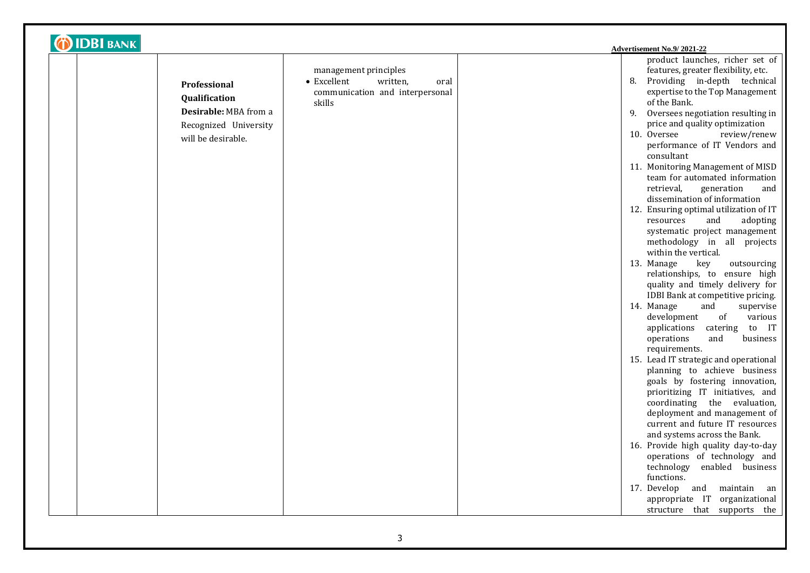| <b>DIDBI BANK</b>                                                                                            |                                                                                                       | Advertisement No.9/2021-22                                                                                                                                                                                                                                                                                                                                                                                                                                                                                                                                                                                                                                                                                                                                                                                                                                                                                                                                                                                                                                                                                                                                                                                                                                                                                                                                                                                                                        |
|--------------------------------------------------------------------------------------------------------------|-------------------------------------------------------------------------------------------------------|---------------------------------------------------------------------------------------------------------------------------------------------------------------------------------------------------------------------------------------------------------------------------------------------------------------------------------------------------------------------------------------------------------------------------------------------------------------------------------------------------------------------------------------------------------------------------------------------------------------------------------------------------------------------------------------------------------------------------------------------------------------------------------------------------------------------------------------------------------------------------------------------------------------------------------------------------------------------------------------------------------------------------------------------------------------------------------------------------------------------------------------------------------------------------------------------------------------------------------------------------------------------------------------------------------------------------------------------------------------------------------------------------------------------------------------------------|
| <b>Professional</b><br>Qualification<br>Desirable: MBA from a<br>Recognized University<br>will be desirable. | management principles<br>• Excellent<br>written,<br>oral<br>communication and interpersonal<br>skills | product launches, richer set of<br>features, greater flexibility, etc.<br>Providing in-depth technical<br>8.<br>expertise to the Top Management<br>of the Bank.<br>Oversees negotiation resulting in<br>9.<br>price and quality optimization<br>10. Oversee<br>review/renew<br>performance of IT Vendors and<br>consultant<br>11. Monitoring Management of MISD<br>team for automated information<br>retrieval,<br>generation<br>and<br>dissemination of information<br>12. Ensuring optimal utilization of IT<br>resources<br>and<br>adopting<br>systematic project management<br>methodology in all projects<br>within the vertical.<br>13. Manage<br>key<br>outsourcing<br>relationships, to ensure high<br>quality and timely delivery for<br>IDBI Bank at competitive pricing.<br>14. Manage<br>and<br>supervise<br>development<br>various<br>of<br>applications<br>catering to IT<br>operations<br>and<br>business<br>requirements.<br>15. Lead IT strategic and operational<br>planning to achieve business<br>goals by fostering innovation,<br>prioritizing IT initiatives, and<br>coordinating the evaluation,<br>deployment and management of<br>current and future IT resources<br>and systems across the Bank.<br>16. Provide high quality day-to-day<br>operations of technology and<br>technology enabled business<br>functions.<br>maintain an<br>17. Develop and<br>appropriate IT organizational<br>structure that supports the |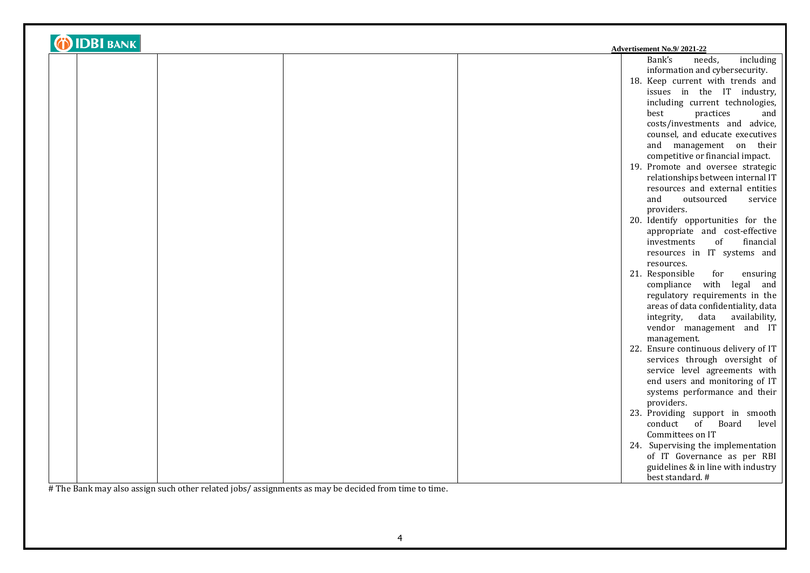| <b>DIDBI BANK</b><br>Advertisement No.9/2021-22 |  |                                      |                 |
|-------------------------------------------------|--|--------------------------------------|-----------------|
|                                                 |  | Bank's<br>needs,                     | including       |
|                                                 |  | information and cybersecurity.       |                 |
|                                                 |  | 18. Keep current with trends and     |                 |
|                                                 |  |                                      |                 |
|                                                 |  | issues in the IT industry,           |                 |
|                                                 |  | including current technologies,      |                 |
|                                                 |  | best<br>practices                    | and             |
|                                                 |  | costs/investments and advice,        |                 |
|                                                 |  | counsel, and educate executives      |                 |
|                                                 |  | and management on their              |                 |
|                                                 |  | competitive or financial impact.     |                 |
|                                                 |  | 19. Promote and oversee strategic    |                 |
|                                                 |  | relationships between internal IT    |                 |
|                                                 |  | resources and external entities      |                 |
|                                                 |  | and<br>outsourced                    | service         |
|                                                 |  | providers.                           |                 |
|                                                 |  | 20. Identify opportunities for the   |                 |
|                                                 |  | appropriate and cost-effective       |                 |
|                                                 |  | investments                          | of<br>financial |
|                                                 |  | resources in IT systems and          |                 |
|                                                 |  | resources.                           |                 |
|                                                 |  | 21. Responsible                      | for<br>ensuring |
|                                                 |  | compliance with legal                | and             |
|                                                 |  | regulatory requirements in the       |                 |
|                                                 |  | areas of data confidentiality, data  |                 |
|                                                 |  | integrity,<br>data                   | availability,   |
|                                                 |  | vendor management and IT             |                 |
|                                                 |  | management.                          |                 |
|                                                 |  | 22. Ensure continuous delivery of IT |                 |
|                                                 |  | services through oversight of        |                 |
|                                                 |  | service level agreements with        |                 |
|                                                 |  | end users and monitoring of IT       |                 |
|                                                 |  | systems performance and their        |                 |
|                                                 |  | providers.                           |                 |
|                                                 |  | 23. Providing support in smooth      |                 |
|                                                 |  | conduct<br>of                        | Board<br>level  |
|                                                 |  | Committees on IT                     |                 |
|                                                 |  | 24. Supervising the implementation   |                 |
|                                                 |  | of IT Governance as per RBI          |                 |
|                                                 |  | guidelines & in line with industry   |                 |
|                                                 |  | best standard. #                     |                 |

# The Bank may also assign such other related jobs/ assignments as may be decided from time to time.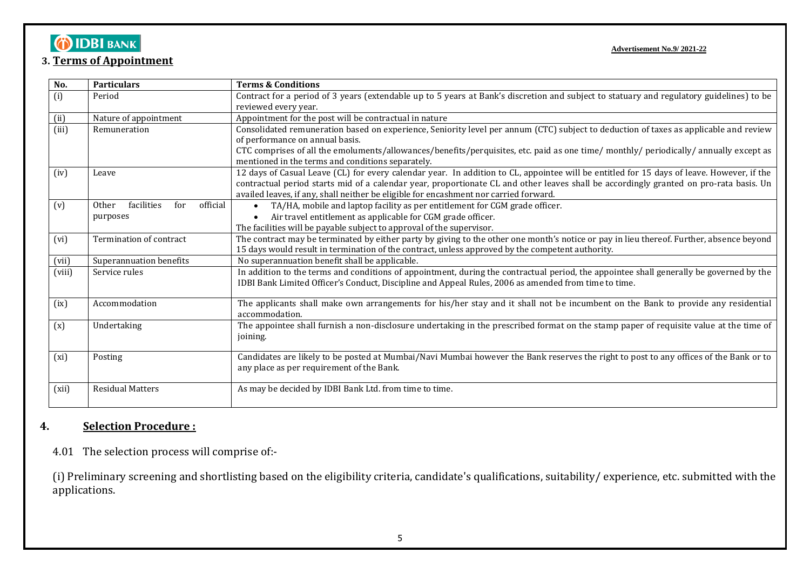# **OIDBIBANK**

### **3. Terms of Appointment**

**Advertisement No.9/ 2021-22**

| No.    | <b>Particulars</b>                     | <b>Terms &amp; Conditions</b>                                                                                                             |
|--------|----------------------------------------|-------------------------------------------------------------------------------------------------------------------------------------------|
| (i)    | Period                                 | Contract for a period of 3 years (extendable up to 5 years at Bank's discretion and subject to statuary and regulatory guidelines) to be  |
|        |                                        | reviewed every year.                                                                                                                      |
| (ii)   | Nature of appointment                  | Appointment for the post will be contractual in nature                                                                                    |
| (iii)  | Remuneration                           | Consolidated remuneration based on experience, Seniority level per annum (CTC) subject to deduction of taxes as applicable and review     |
|        |                                        | of performance on annual basis.                                                                                                           |
|        |                                        | CTC comprises of all the emoluments/allowances/benefits/perquisites, etc. paid as one time/ monthly/ periodically/ annually except as     |
|        |                                        | mentioned in the terms and conditions separately.                                                                                         |
| (iv)   | Leave                                  | 12 days of Casual Leave (CL) for every calendar year. In addition to CL, appointee will be entitled for 15 days of leave. However, if the |
|        |                                        | contractual period starts mid of a calendar year, proportionate CL and other leaves shall be accordingly granted on pro-rata basis. Un    |
|        |                                        | availed leaves, if any, shall neither be eligible for encashment nor carried forward.                                                     |
| (v)    | official<br>facilities<br>for<br>Other | TA/HA, mobile and laptop facility as per entitlement for CGM grade officer.                                                               |
|        | purposes                               | Air travel entitlement as applicable for CGM grade officer.<br>$\bullet$                                                                  |
|        |                                        | The facilities will be payable subject to approval of the supervisor.                                                                     |
| (vi)   | Termination of contract                | The contract may be terminated by either party by giving to the other one month's notice or pay in lieu thereof. Further, absence beyond  |
|        |                                        | 15 days would result in termination of the contract, unless approved by the competent authority.                                          |
| (vii)  | Superannuation benefits                | No superannuation benefit shall be applicable.                                                                                            |
| (viii) | Service rules                          | In addition to the terms and conditions of appointment, during the contractual period, the appointee shall generally be governed by the   |
|        |                                        | IDBI Bank Limited Officer's Conduct, Discipline and Appeal Rules, 2006 as amended from time to time.                                      |
|        |                                        |                                                                                                                                           |
| (ix)   | Accommodation                          | The applicants shall make own arrangements for his/her stay and it shall not be incumbent on the Bank to provide any residential          |
|        |                                        | accommodation.                                                                                                                            |
| (x)    | Undertaking                            | The appointee shall furnish a non-disclosure undertaking in the prescribed format on the stamp paper of requisite value at the time of    |
|        |                                        | joining.                                                                                                                                  |
|        |                                        |                                                                                                                                           |
| (xi)   | Posting                                | Candidates are likely to be posted at Mumbai/Navi Mumbai however the Bank reserves the right to post to any offices of the Bank or to     |
|        |                                        | any place as per requirement of the Bank.                                                                                                 |
| (xii)  | <b>Residual Matters</b>                | As may be decided by IDBI Bank Ltd. from time to time.                                                                                    |
|        |                                        |                                                                                                                                           |
|        |                                        |                                                                                                                                           |

## **4. Selection Procedure :**

4.01 The selection process will comprise of:-

(i) Preliminary screening and shortlisting based on the eligibility criteria, candidate's qualifications, suitability/ experience, etc. submitted with the applications.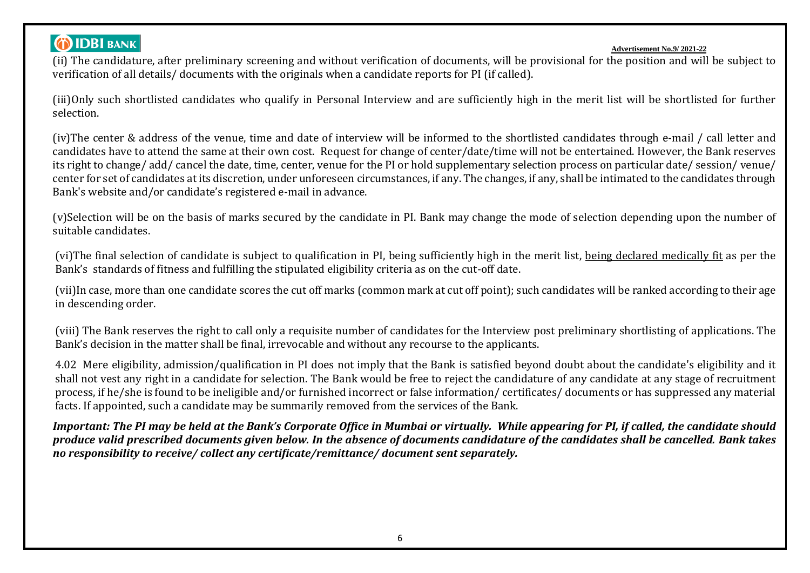# **DIDBI BANK**

#### **Advertisement No.9/ 2021-22**

(ii) The candidature, after preliminary screening and without verification of documents, will be provisional for the position and will be subject to verification of all details/ documents with the originals when a candidate reports for PI (if called).

(iii)Only such shortlisted candidates who qualify in Personal Interview and are sufficiently high in the merit list will be shortlisted for further selection.

(iv)The center & address of the venue, time and date of interview will be informed to the shortlisted candidates through e-mail / call letter and candidates have to attend the same at their own cost. Request for change of center/date/time will not be entertained. However, the Bank reserves its right to change/ add/ cancel the date, time, center, venue for the PI or hold supplementary selection process on particular date/ session/ venue/ center for set of candidates at its discretion, under unforeseen circumstances, if any. The changes, if any, shall be intimated to the candidates through Bank's website and/or candidate's registered e-mail in advance.

(v)Selection will be on the basis of marks secured by the candidate in PI. Bank may change the mode of selection depending upon the number of suitable candidates.

(vi)The final selection of candidate is subject to qualification in PI, being sufficiently high in the merit list, being declared medically fit as per the Bank's standards of fitness and fulfilling the stipulated eligibility criteria as on the cut-off date.

(vii)In case, more than one candidate scores the cut off marks (common mark at cut off point); such candidates will be ranked according to their age in descending order.

(viii) The Bank reserves the right to call only a requisite number of candidates for the Interview post preliminary shortlisting of applications. The Bank's decision in the matter shall be final, irrevocable and without any recourse to the applicants.

4.02 Mere eligibility, admission/qualification in PI does not imply that the Bank is satisfied beyond doubt about the candidate's eligibility and it shall not vest any right in a candidate for selection. The Bank would be free to reject the candidature of any candidate at any stage of recruitment process, if he/she is found to be ineligible and/or furnished incorrect or false information/ certificates/ documents or has suppressed any material facts. If appointed, such a candidate may be summarily removed from the services of the Bank.

*Important: The PI may be held at the Bank's Corporate Office in Mumbai or virtually. While appearing for PI, if called, the candidate should produce valid prescribed documents given below. In the absence of documents candidature of the candidates shall be cancelled. Bank takes no responsibility to receive/ collect any certificate/remittance/ document sent separately.*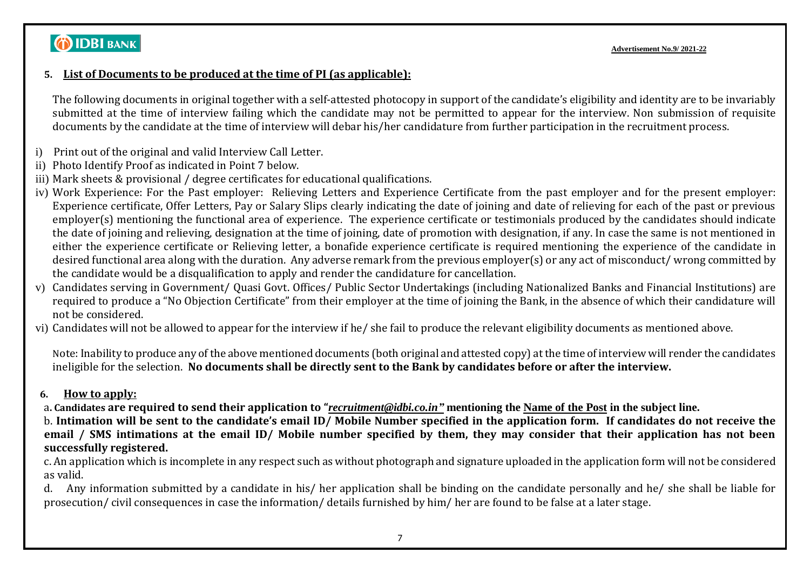# **DIDBI BANK**

### **5. List of Documents to be produced at the time of PI (as applicable):**

The following documents in original together with a self-attested photocopy in support of the candidate's eligibility and identity are to be invariably submitted at the time of interview failing which the candidate may not be permitted to appear for the interview. Non submission of requisite documents by the candidate at the time of interview will debar his/her candidature from further participation in the recruitment process.

- i) Print out of the original and valid Interview Call Letter.
- ii) Photo Identify Proof as indicated in Point 7 below.
- iii) Mark sheets & provisional / degree certificates for educational qualifications.
- iv) Work Experience: For the Past employer: Relieving Letters and Experience Certificate from the past employer and for the present employer: Experience certificate, Offer Letters, Pay or Salary Slips clearly indicating the date of joining and date of relieving for each of the past or previous employer(s) mentioning the functional area of experience. The experience certificate or testimonials produced by the candidates should indicate the date of joining and relieving, designation at the time of joining, date of promotion with designation, if any. In case the same is not mentioned in either the experience certificate or Relieving letter, a bonafide experience certificate is required mentioning the experience of the candidate in desired functional area along with the duration. Any adverse remark from the previous employer(s) or any act of misconduct/ wrong committed by the candidate would be a disqualification to apply and render the candidature for cancellation.
- v) Candidates serving in Government/ Quasi Govt. Offices/ Public Sector Undertakings (including Nationalized Banks and Financial Institutions) are required to produce a "No Objection Certificate" from their employer at the time of joining the Bank, in the absence of which their candidature will not be considered.
- vi) Candidates will not be allowed to appear for the interview if he/ she fail to produce the relevant eligibility documents as mentioned above.

Note: Inability to produce any of the above mentioned documents (both original and attested copy) at the time of interview will render the candidates ineligible for the selection. **No documents shall be directly sent to the Bank by candidates before or after the interview.**

## **6. How to apply:**

a**. Candidates are required to send their application to "***[recruitment@idbi.co.in"](mailto:recruitment@idbi.co.in)* **mentioning the Name of the Post in the subject line.** 

b. **Intimation will be sent to the candidate's email ID/ Mobile Number specified in the application form. If candidates do not receive the email / SMS intimations at the email ID/ Mobile number specified by them, they may consider that their application has not been successfully registered.**

c. An application which is incomplete in any respect such as without photograph and signature uploaded in the application form will not be considered as valid.

d. Any information submitted by a candidate in his/ her application shall be binding on the candidate personally and he/ she shall be liable for prosecution/ civil consequences in case the information/ details furnished by him/ her are found to be false at a later stage.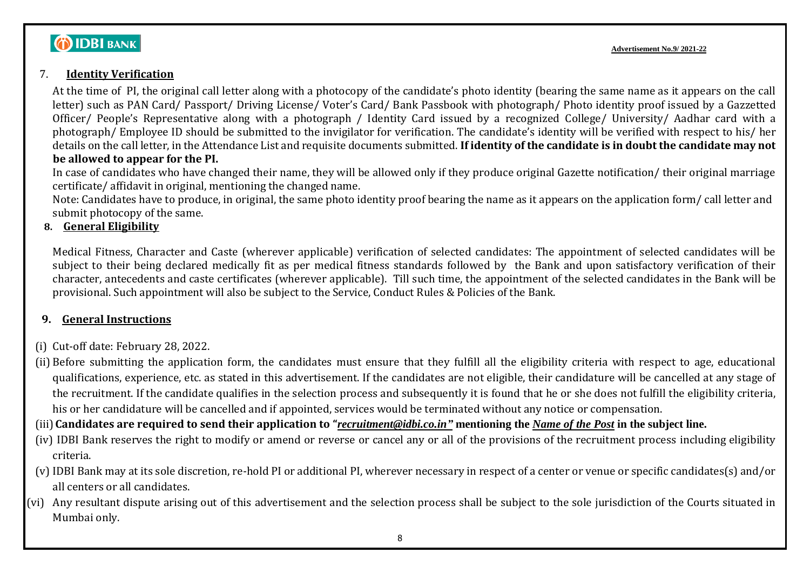# **DIDBI BANK**

### 7. **Identity Verification**

At the time of PI, the original call letter along with a photocopy of the candidate's photo identity (bearing the same name as it appears on the call letter) such as PAN Card/ Passport/ Driving License/ Voter's Card/ Bank Passbook with photograph/ Photo identity proof issued by a Gazzetted Officer/ People's Representative along with a photograph / Identity Card issued by a recognized College/ University/ Aadhar card with a photograph/ Employee ID should be submitted to the invigilator for verification. The candidate's identity will be verified with respect to his/ her details on the call letter, in the Attendance List and requisite documents submitted. **If identity of the candidate is in doubt the candidate may not be allowed to appear for the PI.** 

In case of candidates who have changed their name, they will be allowed only if they produce original Gazette notification/ their original marriage certificate/ affidavit in original, mentioning the changed name.

Note: Candidates have to produce, in original, the same photo identity proof bearing the name as it appears on the application form/ call letter and submit photocopy of the same.

### **8. General Eligibility**

Medical Fitness, Character and Caste (wherever applicable) verification of selected candidates: The appointment of selected candidates will be subject to their being declared medically fit as per medical fitness standards followed by the Bank and upon satisfactory verification of their character, antecedents and caste certificates (wherever applicable). Till such time, the appointment of the selected candidates in the Bank will be provisional. Such appointment will also be subject to the Service, Conduct Rules & Policies of the Bank.

### **9. General Instructions**

- (i) Cut-off date: February 28, 2022.
- (ii) Before submitting the application form, the candidates must ensure that they fulfill all the eligibility criteria with respect to age, educational qualifications, experience, etc. as stated in this advertisement. If the candidates are not eligible, their candidature will be cancelled at any stage of the recruitment. If the candidate qualifies in the selection process and subsequently it is found that he or she does not fulfill the eligibility criteria, his or her candidature will be cancelled and if appointed, services would be terminated without any notice or compensation.
- (iii)**Candidates are required to send their application to "***[recruitment@idbi.co.in"](mailto:recruitment@idbi.co.in)* **mentioning the** *Name of the Post* **in the subject line.**
- (iv) IDBI Bank reserves the right to modify or amend or reverse or cancel any or all of the provisions of the recruitment process including eligibility criteria.
- (v) IDBI Bank may at its sole discretion, re-hold PI or additional PI, wherever necessary in respect of a center or venue or specific candidates(s) and/or all centers or all candidates.
- (vi) Any resultant dispute arising out of this advertisement and the selection process shall be subject to the sole jurisdiction of the Courts situated in Mumbai only.